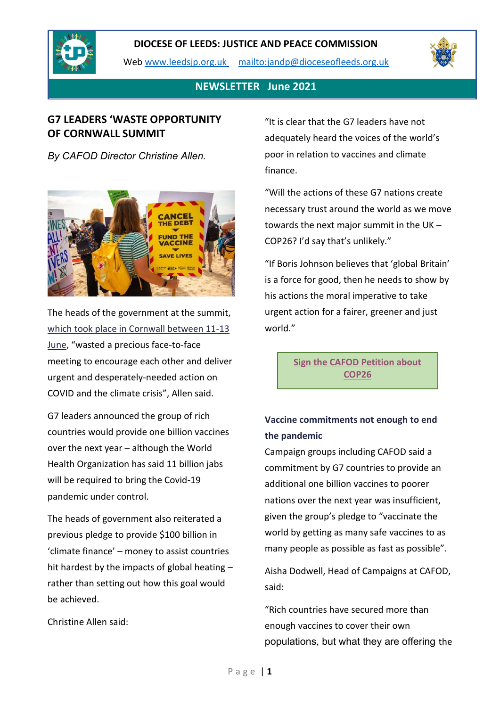

Web [www.leedsjp.org.uk](http://www.leedsjp.org.uk/) <mailto:jandp@dioceseofleeds.org.uk>



### **NEWSLETTER June 2021**

## **G7 LEADERS 'WASTE OPPORTUNITY OF CORNWALL SUMMIT**

*By CAFOD Director Christine Allen.*



The heads of the government at the summit, [which took place in Cornwall between 11-13](https://cafod.org.uk/Campaign/Reclaim-our-common-home/What-is-the-G7-Summit-2021)  [June](https://cafod.org.uk/Campaign/Reclaim-our-common-home/What-is-the-G7-Summit-2021), "wasted a precious face-to-face meeting to encourage each other and deliver urgent and desperately-needed action on COVID and the climate crisis", Allen said.

G7 leaders announced the group of rich countries would provide one billion vaccines over the next year – although the World Health Organization has said 11 billion jabs will be required to bring the Covid-19 pandemic under control.

The heads of government also reiterated a previous pledge to provide \$100 billion in 'climate finance' – money to assist countries hit hardest by the impacts of global heating – rather than setting out how this goal would be achieved.

Christine Allen said:

"It is clear that the G7 leaders have not adequately heard the voices of the world's poor in relation to vaccines and climate finance.

"Will the actions of these G7 nations create necessary trust around the world as we move towards the next major summit in the UK – COP26? I'd say that's unlikely."

"If Boris Johnson believes that 'global Britain' is a force for good, then he needs to show by his actions the moral imperative to take urgent action for a fairer, greener and just world."

> **[Sign the CAFOD Petition about](https://action.cafod.org.uk/page/73304/petition/1)  [COP26](https://action.cafod.org.uk/page/73304/petition/1)**

# **Vaccine commitments not enough to end the pandemic**

Campaign groups including CAFOD said a commitment by G7 countries to provide an additional one billion vaccines to poorer nations over the next year was insufficient, given the group's pledge to "vaccinate the world by getting as many safe vaccines to as many people as possible as fast as possible".

Aisha Dodwell, Head of Campaigns at CAFOD, said:

"Rich countries have secured more than enough vaccines to cover their own populations, but what they are offering the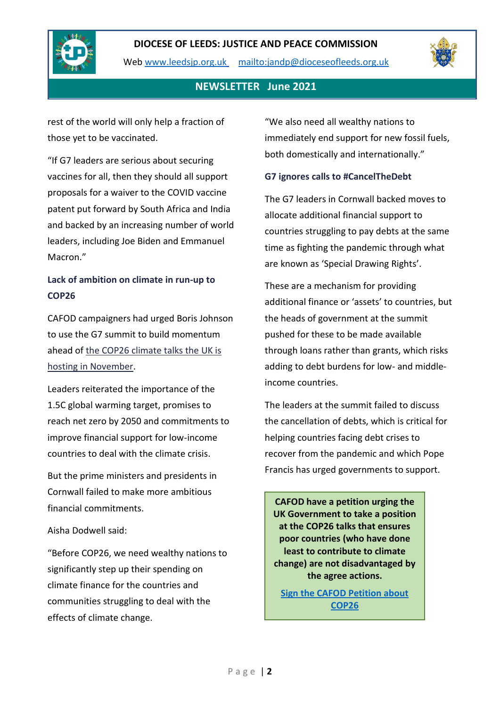

Web [www.leedsjp.org.uk](http://www.leedsjp.org.uk/) <mailto:jandp@dioceseofleeds.org.uk>



## **NEWSLETTER June 2021**

rest of the world will only help a fraction of those yet to be vaccinated.

"If G7 leaders are serious about securing vaccines for all, then they should all support proposals for a waiver to the COVID vaccine patent put forward by South Africa and India and backed by an increasing number of world leaders, including Joe Biden and Emmanuel Macron."

# **Lack of ambition on climate in run-up to COP26**

CAFOD campaigners had urged Boris Johnson to use the G7 summit to build momentum ahead of [the COP26 climate talks the UK is](https://cafod.org.uk/Campaign/Climate/What-is-COP26)  [hosting in November.](https://cafod.org.uk/Campaign/Climate/What-is-COP26)

Leaders reiterated the importance of the 1.5C global warming target, promises to reach net zero by 2050 and commitments to improve financial support for low-income countries to deal with the climate crisis.

But the prime ministers and presidents in Cornwall failed to make more ambitious financial commitments.

#### Aisha Dodwell said:

"Before COP26, we need wealthy nations to significantly step up their spending on climate finance for the countries and communities struggling to deal with the effects of climate change.

"We also need all wealthy nations to immediately end support for new fossil fuels, both domestically and internationally."

#### **G7 ignores calls to #CancelTheDebt**

The G7 leaders in Cornwall backed moves to allocate additional financial support to countries struggling to pay debts at the same time as fighting the pandemic through what are known as 'Special Drawing Rights'.

These are a mechanism for providing additional finance or 'assets' to countries, but the heads of government at the summit pushed for these to be made available through loans rather than grants, which risks adding to debt burdens for low- and middleincome countries.

The leaders at the summit failed to discuss the cancellation of debts, which is critical for helping countries facing debt crises to recover from the pandemic and which Pope Francis has urged governments to support.

**CAFOD have a petition urging the UK Government to take a position at the COP26 talks that ensures poor countries (who have done least to contribute to climate change) are not disadvantaged by the agree actions.**

**[Sign the CAFOD Petition about](https://action.cafod.org.uk/page/73304/petition/1)  [COP26](https://action.cafod.org.uk/page/73304/petition/1)**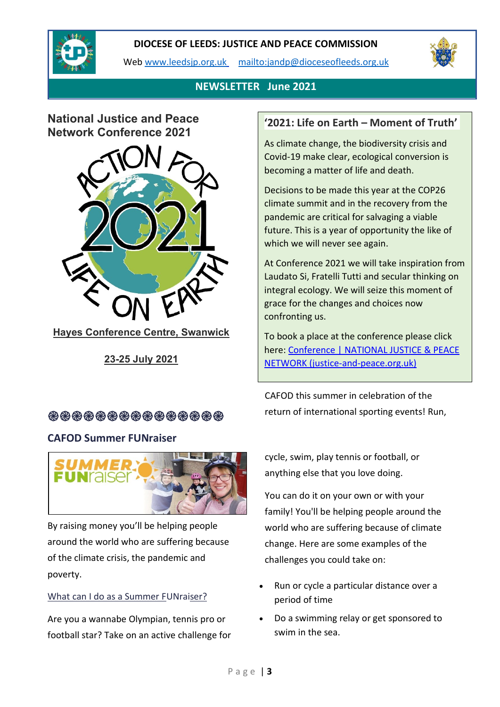

Web [www.leedsjp.org.uk](http://www.leedsjp.org.uk/) <mailto:jandp@dioceseofleeds.org.uk>



# **NEWSLETTER June 2021**

# **National Justice and Peace Network Conference 2021**



**Hayes Conference Centre, Swanwick**

**23-25 July 2021**

# **֎֎֎֎֎֎֎֎֎֎֎֎֎֎֎**

### **CAFOD Summer FUNraiser**



By raising money you'll be helping people around the world who are suffering because of the climate crisis, the pandemic and poverty.

#### What can I do as a Summer FUNraiser?

Are you a wannabe Olympian, tennis pro or football star? Take on an active challenge for

## **'2021: Life on Earth – Moment of Truth'**

As climate change, the biodiversity crisis and Covid-19 make clear, ecological conversion is becoming a matter of life and death.

Decisions to be made this year at the COP26 climate summit and in the recovery from the pandemic are critical for salvaging a viable future. This is a year of opportunity the like of which we will never see again.

At Conference 2021 we will take inspiration from Laudato Si, Fratelli Tutti and secular thinking on integral ecology. We will seize this moment of grace for the changes and choices now confronting us.

To book a place at the conference please click here: [Conference | NATIONAL JUSTICE & PEACE](https://www.justice-and-peace.org.uk/conference/)  [NETWORK \(justice-and-peace.org.uk\)](https://www.justice-and-peace.org.uk/conference/)

CAFOD this summer in celebration of the return of international sporting events! Run,

cycle, swim, play tennis or football, or anything else that you love doing.

You can do it on your own or with your family! You'll be helping people around the world who are suffering because of climate change. Here are some examples of the challenges you could take on:

- Run or cycle a particular distance over a period of time
- Do a swimming relay or get sponsored to swim in the sea.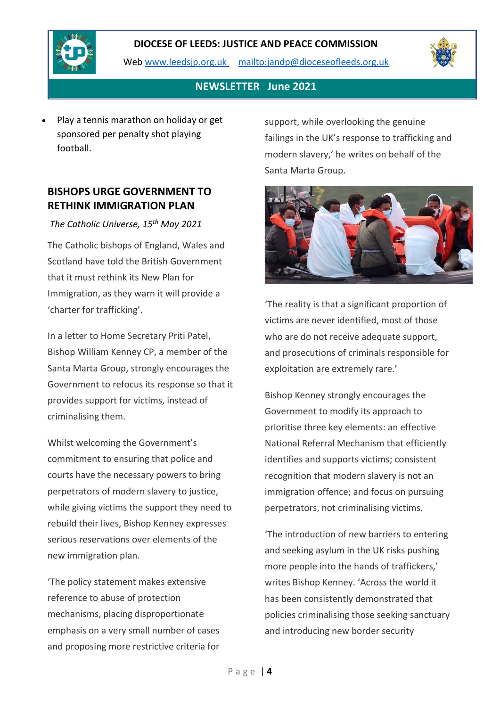

Web [www.leedsjp.org.uk](http://www.leedsjp.org.uk/) <mailto:jandp@dioceseofleeds.org.uk>



## **NEWSLETTER June 2021**

• Play a tennis marathon on holiday or get sponsored per penalty shot playing football.

## **BISHOPS URGE GOVERNMENT TO RETHINK IMMIGRATION PLAN**

*The Catholic Universe, 15th May 2021*

The Catholic bishops of England, Wales and Scotland have told the British Government that it must rethink its New Plan for Immigration, as they warn it will provide a 'charter for trafficking'.

In a letter to Home Secretary Priti Patel, Bishop William Kenney CP, a member of the Santa Marta Group, strongly encourages the Government to refocus its response so that it provides support for victims, instead of criminalising them.

Whilst welcoming the Government's commitment to ensuring that police and courts have the necessary powers to bring perpetrators of modern slavery to justice, while giving victims the support they need to rebuild their lives, Bishop Kenney expresses serious reservations over elements of the new immigration plan.

'The policy statement makes extensive reference to abuse of protection mechanisms, placing disproportionate emphasis on a very small number of cases and proposing more restrictive criteria for

support, while overlooking the genuine failings in the UK's response to trafficking and modern slavery,' he writes on behalf of the Santa Marta Group.



'The reality is that a significant proportion of victims are never identified, most of those who are do not receive adequate support, and prosecutions of criminals responsible for exploitation are extremely rare.'

Bishop Kenney strongly encourages the Government to modify its approach to prioritise three key elements: an effective National Referral Mechanism that efficiently identifies and supports victims; consistent recognition that modern slavery is not an immigration offence; and focus on pursuing perpetrators, not criminalising victims.

'The introduction of new barriers to entering and seeking asylum in the UK risks pushing more people into the hands of traffickers,' writes Bishop Kenney. 'Across the world it has been consistently demonstrated that policies criminalising those seeking sanctuary and introducing new border security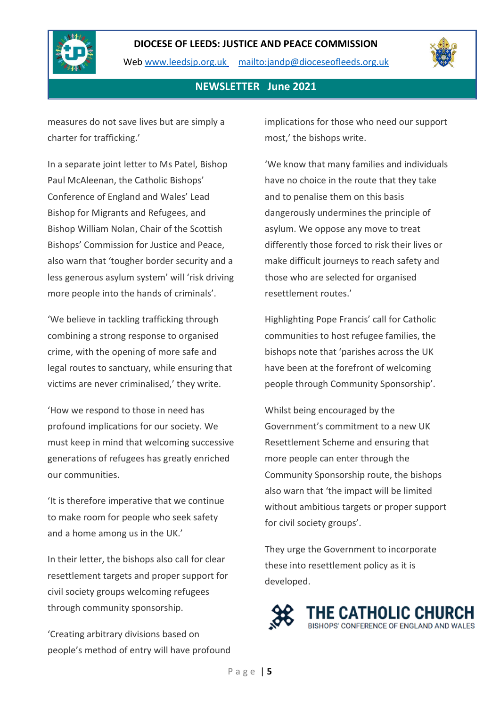

Web [www.leedsjp.org.uk](http://www.leedsjp.org.uk/) <mailto:jandp@dioceseofleeds.org.uk>



### **NEWSLETTER June 2021**

measures do not save lives but are simply a charter for trafficking.'

In a separate joint letter to Ms Patel, Bishop Paul McAleenan, the Catholic Bishops' Conference of England and Wales' Lead Bishop for Migrants and Refugees, and Bishop William Nolan, Chair of the Scottish Bishops' Commission for Justice and Peace, also warn that 'tougher border security and a less generous asylum system' will 'risk driving more people into the hands of criminals'.

'We believe in tackling trafficking through combining a strong response to organised crime, with the opening of more safe and legal routes to sanctuary, while ensuring that victims are never criminalised,' they write.

'How we respond to those in need has profound implications for our society. We must keep in mind that welcoming successive generations of refugees has greatly enriched our communities.

'It is therefore imperative that we continue to make room for people who seek safety and a home among us in the UK.'

In their letter, the bishops also call for clear resettlement targets and proper support for civil society groups welcoming refugees through community sponsorship.

'Creating arbitrary divisions based on people's method of entry will have profound implications for those who need our support most,' the bishops write.

'We know that many families and individuals have no choice in the route that they take and to penalise them on this basis dangerously undermines the principle of asylum. We oppose any move to treat differently those forced to risk their lives or make difficult journeys to reach safety and those who are selected for organised resettlement routes.'

Highlighting Pope Francis' call for Catholic communities to host refugee families, the bishops note that 'parishes across the UK have been at the forefront of welcoming people through Community Sponsorship'.

Whilst being encouraged by the Government's commitment to a new UK Resettlement Scheme and ensuring that more people can enter through the Community Sponsorship route, the bishops also warn that 'the impact will be limited without ambitious targets or proper support for civil society groups'.

They urge the Government to incorporate these into resettlement policy as it is developed.

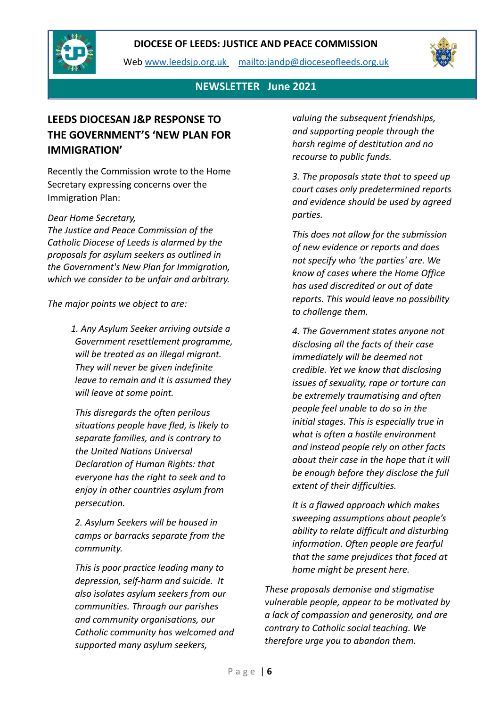

Web [www.leedsjp.org.uk](http://www.leedsjp.org.uk/) <mailto:jandp@dioceseofleeds.org.uk>



## **NEWSLETTER June 2021**

# **LEEDS DIOCESAN J&P RESPONSE TO THE GOVERNMENT'S 'NEW PLAN FOR IMMIGRATION'**

Recently the Commission wrote to the Home Secretary expressing concerns over the Immigration Plan:

#### *Dear Home Secretary,*

*The Justice and Peace Commission of the Catholic Diocese of Leeds is alarmed by the proposals for asylum seekers as outlined in the Government's New Plan for Immigration, which we consider to be unfair and arbitrary.*

*The major points we object to are:*

 *1. Any Asylum Seeker arriving outside a Government resettlement programme, will be treated as an illegal migrant. They will never be given indefinite leave to remain and it is assumed they will leave at some point.*

*This disregards the often perilous situations people have fled, is likely to separate families, and is contrary to the United Nations Universal Declaration of Human Rights: that everyone has the right to seek and to enjoy in other countries asylum from persecution.*

*2. Asylum Seekers will be housed in camps or barracks separate from the community.*

*This is poor practice leading many to depression, self-harm and suicide. It also isolates asylum seekers from our communities. Through our parishes and community organisations, our Catholic community has welcomed and supported many asylum seekers,* 

*valuing the subsequent friendships, and supporting people through the harsh regime of destitution and no recourse to public funds.*

*3. The proposals state that to speed up court cases only predetermined reports and evidence should be used by agreed parties.*

*This does not allow for the submission of new evidence or reports and does not specify who 'the parties' are. We know of cases where the Home Office has used discredited or out of date reports. This would leave no possibility to challenge them.*

*4. The Government states anyone not disclosing all the facts of their case immediately will be deemed not credible. Yet we know that disclosing issues of sexuality, rape or torture can be extremely traumatising and often people feel unable to do so in the initial stages. This is especially true in what is often a hostile environment and instead people rely on other facts about their case in the hope that it will be enough before they disclose the full extent of their difficulties.*

*It is a flawed approach which makes sweeping assumptions about people's ability to relate difficult and disturbing information. Often people are fearful that the same prejudices that faced at home might be present here.*

*These proposals demonise and stigmatise vulnerable people, appear to be motivated by a lack of compassion and generosity, and are contrary to Catholic social teaching. We therefore urge you to abandon them.*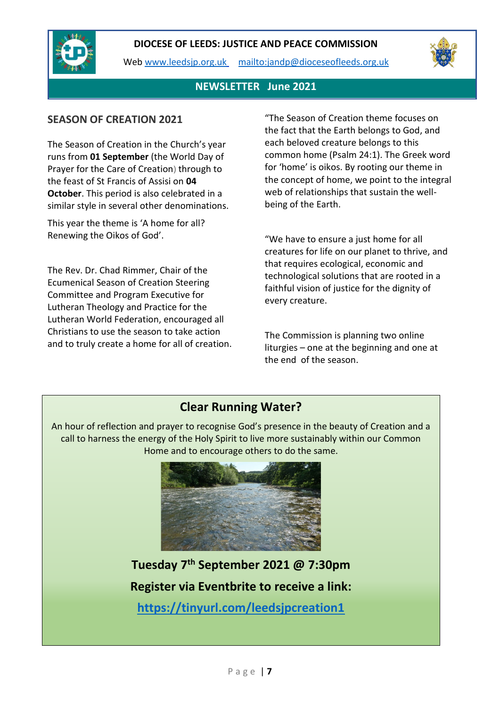

Web [www.leedsjp.org.uk](http://www.leedsjp.org.uk/) <mailto:jandp@dioceseofleeds.org.uk>



## **NEWSLETTER June 2021**

### **SEASON OF CREATION 2021**

The Season of Creation in the Church's year runs from **01 September** (the World Day of Prayer for the Care of Creation) through to the feast of St Francis of Assisi on **04 October**. This period is also celebrated in a similar style in several other denominations.

This year the theme is 'A home for all? Renewing the Oikos of God'.

The Rev. Dr. Chad Rimmer, Chair of the Ecumenical Season of Creation Steering Committee and Program Executive for Lutheran Theology and Practice for the Lutheran World Federation, encouraged all Christians to use the season to take action and to truly create a home for all of creation. "The Season of Creation theme focuses on the fact that the Earth belongs to God, and each beloved creature belongs to this common home (Psalm 24:1). The Greek word for 'home' is oikos. By rooting our theme in the concept of home, we point to the integral web of relationships that sustain the wellbeing of the Earth.

"We have to ensure a just home for all creatures for life on our planet to thrive, and that requires ecological, economic and technological solutions that are rooted in a faithful vision of justice for the dignity of every creature.

The Commission is planning two online liturgies – one at the beginning and one at the end of the season.

# **Clear Running Water?**

An hour of reflection and prayer to recognise God's presence in the beauty of Creation and a call to harness the energy of the Holy Spirit to live more sustainably within our Common Home and to encourage others to do the same.



**Tuesday 7th September 2021 @ 7:30pm Register via Eventbrite to receive a link: <https://tinyurl.com/leedsjpcreation1>**